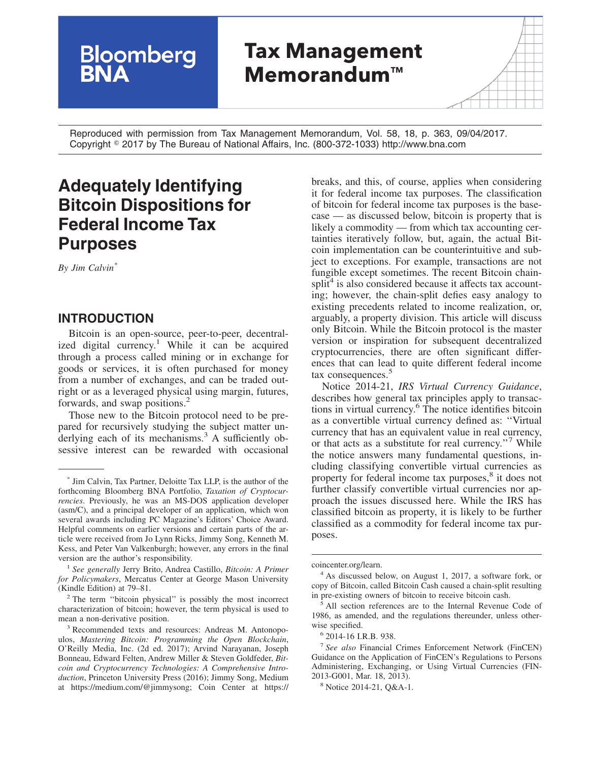# **Tax Management Memorandum™**

Reproduced with permission from Tax Management Memorandum, Vol. 58, 18, p. 363, 09/04/2017. Copyright - 2017 by The Bureau of National Affairs, Inc. (800-372-1033) http://www.bna.com

# **Adequately Identifying Bitcoin Dispositions for Federal Income Tax Purposes**

**Bloomberg**<br>**BNA** 

*By Jim Calvin\**

#### **INTRODUCTION**

Bitcoin is an open-source, peer-to-peer, decentralized digital currency.<sup>1</sup> While it can be acquired through a process called mining or in exchange for goods or services, it is often purchased for money from a number of exchanges, and can be traded outright or as a leveraged physical using margin, futures, forwards, and swap positions.<sup>2</sup>

Those new to the Bitcoin protocol need to be prepared for recursively studying the subject matter underlying each of its mechanisms.<sup>3</sup> A sufficiently obsessive interest can be rewarded with occasional

breaks, and this, of course, applies when considering it for federal income tax purposes. The classification of bitcoin for federal income tax purposes is the basecase — as discussed below, bitcoin is property that is likely a commodity — from which tax accounting certainties iteratively follow, but, again, the actual Bitcoin implementation can be counterintuitive and subject to exceptions. For example, transactions are not fungible except sometimes. The recent Bitcoin chainsplit<sup>4</sup> is also considered because it affects tax accounting; however, the chain-split defies easy analogy to existing precedents related to income realization, or, arguably, a property division. This article will discuss only Bitcoin. While the Bitcoin protocol is the master version or inspiration for subsequent decentralized cryptocurrencies, there are often significant differences that can lead to quite different federal income tax consequences.<sup>5</sup>

Notice 2014-21, *IRS Virtual Currency Guidance*, describes how general tax principles apply to transactions in virtual currency.6 The notice identifies bitcoin as a convertible virtual currency defined as: ''Virtual currency that has an equivalent value in real currency, or that acts as a substitute for real currency."<sup>7</sup> While the notice answers many fundamental questions, including classifying convertible virtual currencies as property for federal income tax purposes,<sup>8</sup> it does not further classify convertible virtual currencies nor approach the issues discussed here. While the IRS has classified bitcoin as property, it is likely to be further classified as a commodity for federal income tax purposes.

<sup>\*</sup> Jim Calvin, Tax Partner, Deloitte Tax LLP, is the author of the forthcoming Bloomberg BNA Portfolio, *Taxation of Cryptocurrencies*. Previously, he was an MS-DOS application developer (asm/C), and a principal developer of an application, which won several awards including PC Magazine's Editors' Choice Award. Helpful comments on earlier versions and certain parts of the article were received from Jo Lynn Ricks, Jimmy Song, Kenneth M. Kess, and Peter Van Valkenburgh; however, any errors in the final version are the author's responsibility.

<sup>1</sup> *See generally* Jerry Brito, Andrea Castillo, *Bitcoin: A Primer for Policymakers*, Mercatus Center at George Mason University (Kindle Edition) at 79–81.

<sup>2</sup> The term ''bitcoin physical'' is possibly the most incorrect characterization of bitcoin; however, the term physical is used to mean a non-derivative position.

<sup>3</sup> Recommended texts and resources: Andreas M. Antonopoulos, *Mastering Bitcoin: Programming the Open Blockchain*, O'Reilly Media, Inc. (2d ed. 2017); Arvind Narayanan, Joseph Bonneau, Edward Felten, Andrew Miller & Steven Goldfeder, *Bitcoin and Cryptocurrency Technologies: A Comprehensive Introduction*, Princeton University Press (2016); Jimmy Song, Medium at [https://medium.com/@jimmysong;](https://medium.com/@jimmysong) Coin Center at [https://](https://coincenter.org/learn)

[coincenter.org/learn.](https://coincenter.org/learn)

<sup>&</sup>lt;sup>4</sup> As discussed below, on August 1, 2017, a software fork, or copy of Bitcoin, called Bitcoin Cash caused a chain-split resulting in pre-existing owners of bitcoin to receive bitcoin cash.

<sup>&</sup>lt;sup>5</sup> All section references are to the Internal Revenue Code of 1986, as amended, and the regulations thereunder, unless otherwise specified.

<sup>6</sup> 2014-16 I.R.B. 938.

<sup>7</sup> *See also* Financial Crimes Enforcement Network (FinCEN) Guidance on the Application of FinCEN's Regulations to Persons Administering, Exchanging, or Using Virtual Currencies (FIN-2013-G001, Mar. 18, 2013).

<sup>8</sup> Notice 2014-21, Q&A-1.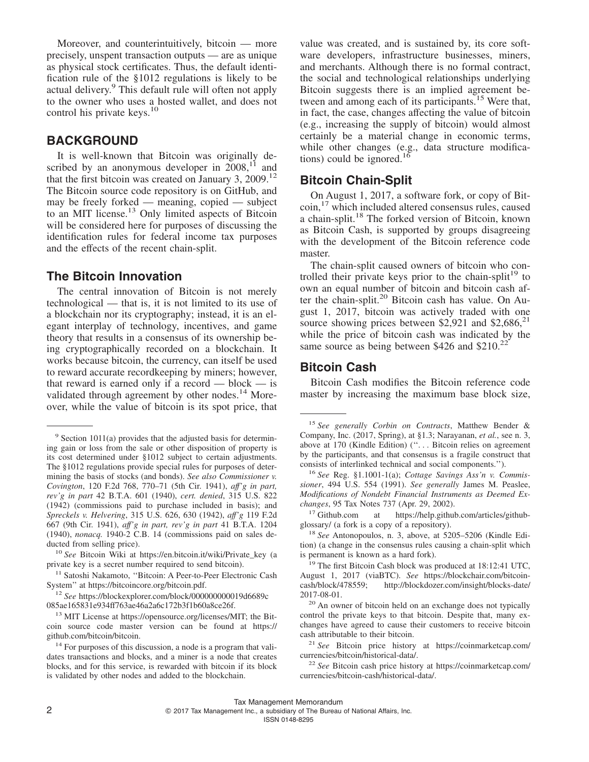Moreover, and counterintuitively, bitcoin — more precisely, unspent transaction outputs — are as unique as physical stock certificates. Thus, the default identification rule of the §1012 regulations is likely to be actual delivery.<sup>9</sup> This default rule will often not apply to the owner who uses a hosted wallet, and does not control his private keys.<sup>10</sup>

#### **BACKGROUND**

It is well-known that Bitcoin was originally described by an anonymous developer in  $2008$ ,<sup>11</sup> and that the first bitcoin was created on January 3,  $2009$ .<sup>12</sup> The Bitcoin source code repository is on GitHub, and may be freely forked — meaning, copied — subject to an MIT license.<sup>13</sup> Only limited aspects of Bitcoin will be considered here for purposes of discussing the identification rules for federal income tax purposes and the effects of the recent chain-split.

#### **The Bitcoin Innovation**

The central innovation of Bitcoin is not merely technological — that is, it is not limited to its use of a blockchain nor its cryptography; instead, it is an elegant interplay of technology, incentives, and game theory that results in a consensus of its ownership being cryptographically recorded on a blockchain. It works because bitcoin, the currency, can itself be used to reward accurate recordkeeping by miners; however, that reward is earned only if a record  $-$  block  $-$  is validated through agreement by other nodes. $14$  Moreover, while the value of bitcoin is its spot price, that

value was created, and is sustained by, its core software developers, infrastructure businesses, miners, and merchants. Although there is no formal contract, the social and technological relationships underlying Bitcoin suggests there is an implied agreement between and among each of its participants.<sup>15</sup> Were that, in fact, the case, changes affecting the value of bitcoin (e.g., increasing the supply of bitcoin) would almost certainly be a material change in economic terms, while other changes (e.g., data structure modifications) could be ignored.<sup>16</sup>

#### **Bitcoin Chain-Split**

On August 1, 2017, a software fork, or copy of Bitcoin,<sup>17</sup> which included altered consensus rules, caused a chain-split.<sup>18</sup> The forked version of Bitcoin, known as Bitcoin Cash, is supported by groups disagreeing with the development of the Bitcoin reference code master.

The chain-split caused owners of bitcoin who controlled their private keys prior to the chain-split<sup>19</sup> to own an equal number of bitcoin and bitcoin cash after the chain-split.<sup>20</sup> Bitcoin cash has value. On August 1, 2017, bitcoin was actively traded with one source showing prices between \$2,921 and \$2,686, $^{21}$ while the price of bitcoin cash was indicated by the same source as being between \$426 and  $$210<sup>22</sup>$ 

#### **Bitcoin Cash**

Bitcoin Cash modifies the Bitcoin reference code master by increasing the maximum base block size,

<sup>17</sup> Github.com at [https://help.github.com/articles/github](https://help.github.com/articles/github-glossary/)[glossary/](https://help.github.com/articles/github-glossary/) (a fork is a copy of a repository).

<sup>18</sup> *See* Antonopoulos, n. 3, above, at 5205–5206 (Kindle Edition) (a change in the consensus rules causing a chain-split which is permanent is known as a hard fork).

<sup>19</sup> The first Bitcoin Cash block was produced at 18:12:41 UTC, August 1, 2017 (viaBTC). *See* https://blockchair.com/bitcoin-cash/block/478559; http://blockdozer.com/insight/blocks-date/ http://blockdozer.com/insight/blocks-date/ [2017-08-01.](http://blockdozer.com/insight/blocks-date/2017-08-01)

<sup>20</sup> An owner of bitcoin held on an exchange does not typically control the private keys to that bitcoin. Despite that, many exchanges have agreed to cause their customers to receive bitcoin cash attributable to their bitcoin.

<sup>21</sup> *See* Bitcoin price history at [https://coinmarketcap.com/](https://coinmarketcap.com/currencies/bitcoin/historical-data/) [currencies/bitcoin/historical-data/.](https://coinmarketcap.com/currencies/bitcoin/historical-data/)

 $9$  Section 1011(a) provides that the adjusted basis for determining gain or loss from the sale or other disposition of property is its cost determined under §1012 subject to certain adjustments. The §1012 regulations provide special rules for purposes of determining the basis of stocks (and bonds). *See also Commissioner v. Covington*, 120 F.2d 768, 770–71 (5th Cir. 1941), *aff'g in part, rev'g in part* 42 B.T.A. 601 (1940), *cert. denied*, 315 U.S. 822 (1942) (commissions paid to purchase included in basis); and *Spreckels v. Helvering*, 315 U.S. 626, 630 (1942), *aff'g* 119 F.2d 667 (9th Cir. 1941), *aff'g in part, rev'g in part* 41 B.T.A. 1204 (1940), *nonacq.* 1940-2 C.B. 14 (commissions paid on sales deducted from selling price).

<sup>10</sup> *See* Bitcoin Wiki at [https://en.bitcoin.it/wiki/Private\\_key](https://en.bitcoin.it/wiki/Private_key) (a private key is a secret number required to send bitcoin).

<sup>&</sup>lt;sup>11</sup> Satoshi Nakamoto, "Bitcoin: A Peer-to-Peer Electronic Cash System'' at [https://bitcoincore.org/bitcoin.pdf.](https://bitcoincore.org/bitcoin.pdf)

<sup>12</sup> *See* [https://blockexplorer.com/block/000000000019d6689c](https://blockexplorer.com/block/000000000019d6689c085ae165831e934ff763ae46a2a6c172b3f1b60a8ce26f) [085ae165831e934ff763ae46a2a6c172b3f1b60a8ce26f.](https://blockexplorer.com/block/000000000019d6689c085ae165831e934ff763ae46a2a6c172b3f1b60a8ce26f)

<sup>13</sup> MIT License at [https://opensource.org/licenses/MIT;](https://opensource.org/licenses/MIT) the Bitcoin source code master version can be found at [https://](https://github.com/bitcoin/bitcoin) [github.com/bitcoin/bitcoin.](https://github.com/bitcoin/bitcoin)

<sup>&</sup>lt;sup>14</sup> For purposes of this discussion, a node is a program that validates transactions and blocks, and a miner is a node that creates blocks, and for this service, is rewarded with bitcoin if its block is validated by other nodes and added to the blockchain.

<sup>15</sup> *See generally Corbin on Contracts*, Matthew Bender & Company, Inc. (2017, Spring), at §1.3; Narayanan, *et al.*, see n. 3, above at 170 (Kindle Edition) ("... Bitcoin relies on agreement by the participants, and that consensus is a fragile construct that consists of interlinked technical and social components.'').

<sup>16</sup> *See* Reg. §1.1001-1(a); *Cottage Savings Ass'n v. Commissioner*, 494 U.S. 554 (1991). *See generally* James M. Peaslee, *Modifications of Nondebt Financial Instruments as Deemed Exchanges*, 95 Tax Notes 737 (Apr. 29, 2002).

<sup>22</sup> *See* Bitcoin cash price history at [https://coinmarketcap.com/](https://coinmarketcap.com/currencies/bitcoin-cash/historical-data/) [currencies/bitcoin-cash/historical-data/.](https://coinmarketcap.com/currencies/bitcoin-cash/historical-data/)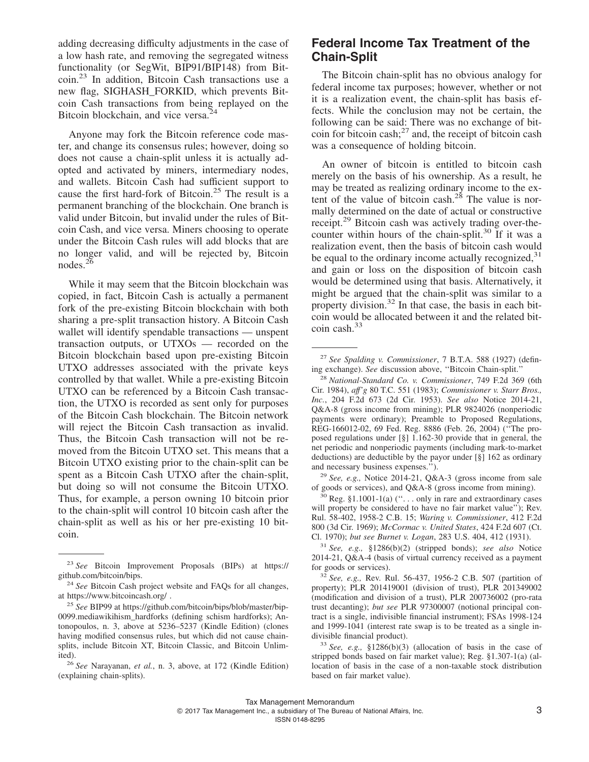adding decreasing difficulty adjustments in the case of a low hash rate, and removing the segregated witness functionality (or SegWit, BIP91/BIP148) from Bitcoin.<sup>23</sup> In addition, Bitcoin Cash transactions use a new flag, SIGHASH\_FORKID, which prevents Bitcoin Cash transactions from being replayed on the Bitcoin blockchain, and vice versa.<sup>2</sup>

Anyone may fork the Bitcoin reference code master, and change its consensus rules; however, doing so does not cause a chain-split unless it is actually adopted and activated by miners, intermediary nodes, and wallets. Bitcoin Cash had sufficient support to cause the first hard-fork of Bitcoin.<sup>25</sup> The result is a permanent branching of the blockchain. One branch is valid under Bitcoin, but invalid under the rules of Bitcoin Cash, and vice versa. Miners choosing to operate under the Bitcoin Cash rules will add blocks that are no longer valid, and will be rejected by, Bitcoin nodes. $2^{6}$ 

While it may seem that the Bitcoin blockchain was copied, in fact, Bitcoin Cash is actually a permanent fork of the pre-existing Bitcoin blockchain with both sharing a pre-split transaction history. A Bitcoin Cash wallet will identify spendable transactions — unspent transaction outputs, or UTXOs — recorded on the Bitcoin blockchain based upon pre-existing Bitcoin UTXO addresses associated with the private keys controlled by that wallet. While a pre-existing Bitcoin UTXO can be referenced by a Bitcoin Cash transaction, the UTXO is recorded as sent only for purposes of the Bitcoin Cash blockchain. The Bitcoin network will reject the Bitcoin Cash transaction as invalid. Thus, the Bitcoin Cash transaction will not be removed from the Bitcoin UTXO set. This means that a Bitcoin UTXO existing prior to the chain-split can be spent as a Bitcoin Cash UTXO after the chain-split, but doing so will not consume the Bitcoin UTXO. Thus, for example, a person owning 10 bitcoin prior to the chain-split will control 10 bitcoin cash after the chain-split as well as his or her pre-existing 10 bitcoin.

#### **Federal Income Tax Treatment of the Chain-Split**

The Bitcoin chain-split has no obvious analogy for federal income tax purposes; however, whether or not it is a realization event, the chain-split has basis effects. While the conclusion may not be certain, the following can be said: There was no exchange of bitcoin for bitcoin cash; $^{27}$  and, the receipt of bitcoin cash was a consequence of holding bitcoin.

An owner of bitcoin is entitled to bitcoin cash merely on the basis of his ownership. As a result, he may be treated as realizing ordinary income to the extent of the value of bitcoin cash.<sup>28</sup> The value is normally determined on the date of actual or constructive receipt.<sup>29</sup> Bitcoin cash was actively trading over-thecounter within hours of the chain-split.<sup>30</sup> If it was a realization event, then the basis of bitcoin cash would be equal to the ordinary income actually recognized,  $31$ and gain or loss on the disposition of bitcoin cash would be determined using that basis. Alternatively, it might be argued that the chain-split was similar to a property division.<sup>32</sup> In that case, the basis in each bitcoin would be allocated between it and the related bitcoin cash.<sup>33</sup>

<sup>28</sup> *National-Standard Co. v. Commissioner*, 749 F.2d 369 (6th Cir. 1984), *aff'g* 80 T.C. 551 (1983); *Commissioner v. Starr Bros., Inc.*, 204 F.2d 673 (2d Cir. 1953). *See also* Notice 2014-21, Q&A-8 (gross income from mining); PLR 9824026 (nonperiodic payments were ordinary); Preamble to Proposed Regulations, REG-166012-02, 69 Fed. Reg. 8886 (Feb. 26, 2004) (''The proposed regulations under [§] 1.162-30 provide that in general, the net periodic and nonperiodic payments (including mark-to-market deductions) are deductible by the payor under [§] 162 as ordinary and necessary business expenses.'').

<sup>29</sup> *See, e.g.,* Notice 2014-21, Q&A-3 (gross income from sale of goods or services), and Q&A-8 (gross income from mining).

 $30$  Reg. §1.1001-1(a) ("... only in rare and extraordinary cases will property be considered to have no fair market value''); Rev. Rul. 58-402, 1958-2 C.B. 15; *Waring v. Commissioner*, 412 F.2d 800 (3d Cir. 1969); *McCormac v. United States*, 424 F.2d 607 (Ct. Cl. 1970); *but see Burnet v. Logan*, 283 U.S. 404, 412 (1931).

<sup>31</sup> *See, e.g.,* §1286(b)(2) (stripped bonds); *see also* Notice 2014-21, Q&A-4 (basis of virtual currency received as a payment for goods or services).

<sup>23</sup> *See* Bitcoin Improvement Proposals (BIPs) at [https://](https://github.com/bitcoin/bips) [github.com/bitcoin/bips.](https://github.com/bitcoin/bips)

<sup>24</sup> *See* Bitcoin Cash project website and FAQs for all changes, at<https://www.bitcoincash.org/> .

<sup>25</sup> *See* BIP99 at [https://github.com/bitcoin/bips/blob/master/bip-](https://github.com/bitcoin/bips/blob/master/bip-0099.mediawikihism_hardforks)[0099.mediawikihism\\_hardforks](https://github.com/bitcoin/bips/blob/master/bip-0099.mediawikihism_hardforks) (defining schism hardforks); Antonopoulos, n. 3, above at 5236–5237 (Kindle Edition) (clones having modified consensus rules, but which did not cause chainsplits, include Bitcoin XT, Bitcoin Classic, and Bitcoin Unlimited).

<sup>26</sup> *See* Narayanan, *et al.*, n. 3, above, at 172 (Kindle Edition) (explaining chain-splits).

<sup>27</sup> *See Spalding v. Commissioner*, 7 B.T.A. 588 (1927) (defining exchange). *See* discussion above, ''Bitcoin Chain-split.''

<sup>32</sup> *See, e.g.,* Rev. Rul. 56-437, 1956-2 C.B. 507 (partition of property); PLR 201419001 (division of trust), PLR 201349002 (modification and division of a trust), PLR 200736002 (pro-rata trust decanting); *but see* PLR 97300007 (notional principal contract is a single, indivisible financial instrument); FSAs 1998-124 and 1999-1041 (interest rate swap is to be treated as a single indivisible financial product).

<sup>33</sup> *See, e.g.,* §1286(b)(3) (allocation of basis in the case of stripped bonds based on fair market value); Reg. §1.307-1(a) (allocation of basis in the case of a non-taxable stock distribution based on fair market value).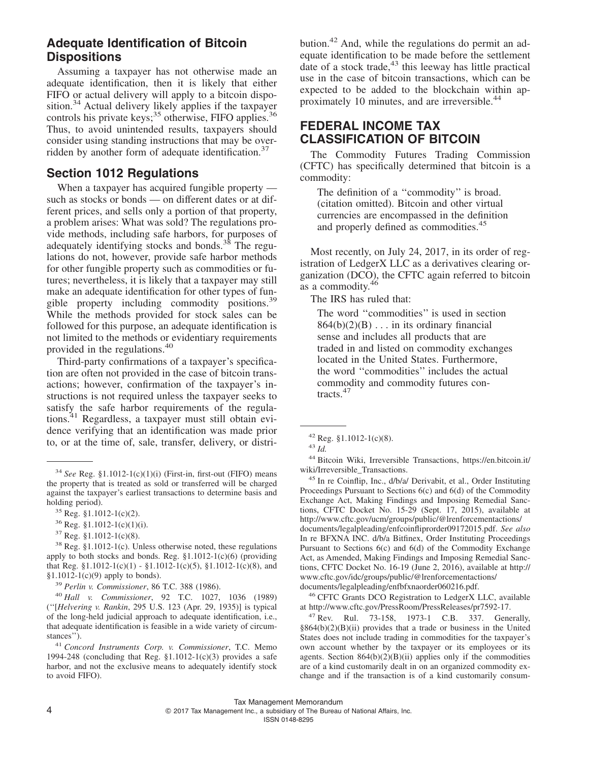### **Adequate Identification of Bitcoin Dispositions**

Assuming a taxpayer has not otherwise made an adequate identification, then it is likely that either FIFO or actual delivery will apply to a bitcoin disposition.<sup>34</sup> Actual delivery likely applies if the taxpayer controls his private keys;  $35$  otherwise, FIFO applies.<sup>36</sup> Thus, to avoid unintended results, taxpayers should consider using standing instructions that may be overridden by another form of adequate identification.<sup>37</sup>

#### **Section 1012 Regulations**

When a taxpayer has acquired fungible property such as stocks or bonds — on different dates or at different prices, and sells only a portion of that property, a problem arises: What was sold? The regulations provide methods, including safe harbors, for purposes of adequately identifying stocks and bonds.<sup>38</sup> The regulations do not, however, provide safe harbor methods for other fungible property such as commodities or futures; nevertheless, it is likely that a taxpayer may still make an adequate identification for other types of fungible property including commodity positions.39 While the methods provided for stock sales can be followed for this purpose, an adequate identification is not limited to the methods or evidentiary requirements provided in the regulations.<sup>40</sup>

Third-party confirmations of a taxpayer's specification are often not provided in the case of bitcoin transactions; however, confirmation of the taxpayer's instructions is not required unless the taxpayer seeks to satisfy the safe harbor requirements of the regulations.<sup>41</sup> Regardless, a taxpayer must still obtain evidence verifying that an identification was made prior to, or at the time of, sale, transfer, delivery, or distri-

<sup>41</sup> *Concord Instruments Corp. v. Commissioner*, T.C. Memo 1994-248 (concluding that Reg.  $$1.1012-1(c)(3)$  provides a safe harbor, and not the exclusive means to adequately identify stock to avoid FIFO).

bution.<sup>42</sup> And, while the regulations do permit an adequate identification to be made before the settlement date of a stock trade, $43$  this leeway has little practical use in the case of bitcoin transactions, which can be expected to be added to the blockchain within approximately 10 minutes, and are irreversible.<sup>44</sup>

#### **FEDERAL INCOME TAX CLASSIFICATION OF BITCOIN**

The Commodity Futures Trading Commission (CFTC) has specifically determined that bitcoin is a commodity:

The definition of a ''commodity'' is broad. (citation omitted). Bitcoin and other virtual currencies are encompassed in the definition and properly defined as commodities.<sup>45</sup>

Most recently, on July 24, 2017, in its order of registration of LedgerX LLC as a derivatives clearing organization (DCO), the CFTC again referred to bitcoin as a commodity.<sup>46</sup>

The IRS has ruled that:

The word ''commodities'' is used in section  $864(b)(2)(B) \ldots$  in its ordinary financial sense and includes all products that are traded in and listed on commodity exchanges located in the United States. Furthermore, the word ''commodities'' includes the actual commodity and commodity futures contracts.47

<sup>44</sup> Bitcoin Wiki, Irreversible Transactions, [https://en.bitcoin.it/](https://en.bitcoin.it/wiki/Irreversible_Transactions) [wiki/Irreversible\\_Transactions.](https://en.bitcoin.it/wiki/Irreversible_Transactions)

<sup>45</sup> In re Coinflip, Inc., d/b/a/ Derivabit, et al., Order Instituting Proceedings Pursuant to Sections 6(c) and 6(d) of the Commodity Exchange Act, Making Findings and Imposing Remedial Sanctions, CFTC Docket No. 15-29 (Sept. 17, 2015), available at [http://www.cftc.gov/ucm/groups/public/@lrenforcementactions/](http://www.cftc.gov/ucm/groups/public/@lrenforcementactions/documents/legalpleading/enfcoinfliprorder09172015.pdf) [documents/legalpleading/enfcoinfliprorder09172015.pdf.](http://www.cftc.gov/ucm/groups/public/@lrenforcementactions/documents/legalpleading/enfcoinfliprorder09172015.pdf) *See also* In re BFXNA INC. d/b/a Bitfinex, Order Instituting Proceedings Pursuant to Sections 6(c) and 6(d) of the Commodity Exchange Act, as Amended, Making Findings and Imposing Remedial Sanctions, CFTC Docket No. 16-19 (June 2, 2016), available at [http://](http://www.cftc.gov/idc/groups/public/@lrenforcementactions/documents/legalpleading/enfbfxnaorder060216.pdf) [www.cftc.gov/idc/groups/public/@lrenforcementactions/](http://www.cftc.gov/idc/groups/public/@lrenforcementactions/documents/legalpleading/enfbfxnaorder060216.pdf) [documents/legalpleading/enfbfxnaorder060216.pdf.](http://www.cftc.gov/idc/groups/public/@lrenforcementactions/documents/legalpleading/enfbfxnaorder060216.pdf)

<sup>46</sup> CFTC Grants DCO Registration to LedgerX LLC, available at [http://www.cftc.gov/PressRoom/PressReleases/pr7592-17.](http://www.cftc.gov/PressRoom/PressReleases/pr7592-17)

<sup>47</sup> Rev. Rul. 73-158, 1973-1 C.B. 337. Generally,  $§864(b)(2)(B)(ii)$  provides that a trade or business in the United States does not include trading in commodities for the taxpayer's own account whether by the taxpayer or its employees or its agents. Section  $864(b)(2)(B)(ii)$  applies only if the commodities are of a kind customarily dealt in on an organized commodity exchange and if the transaction is of a kind customarily consum-

<sup>34</sup> *See* Reg. §1.1012-1(c)(1)(i) (First-in, first-out (FIFO) means the property that is treated as sold or transferred will be charged against the taxpayer's earliest transactions to determine basis and holding period).

<sup>35</sup> Reg. §1.1012-1(c)(2).

 $36$  Reg. §1.1012-1(c)(1)(i).

 $37$  Reg. §1.1012-1(c)(8).

<sup>38</sup> Reg. §1.1012-1(c). Unless otherwise noted, these regulations apply to both stocks and bonds. Reg. §1.1012-1(c)(6) (providing that Reg.  $§1.1012-1(c)(1) - §1.1012-1(c)(5)$ ,  $§1.1012-1(c)(8)$ , and  $§1.1012-1(c)(9)$  apply to bonds).

<sup>39</sup> *Perlin v. Commissioner*, 86 T.C. 388 (1986).

<sup>40</sup> *Hall v. Commissioner*, 92 T.C. 1027, 1036 (1989) (''[*Helvering v. Rankin*, 295 U.S. 123 (Apr. 29, 1935)] is typical of the long-held judicial approach to adequate identification, i.e., that adequate identification is feasible in a wide variety of circumstances'').

<sup>42</sup> Reg. §1.1012-1(c)(8).

<sup>43</sup> *Id.*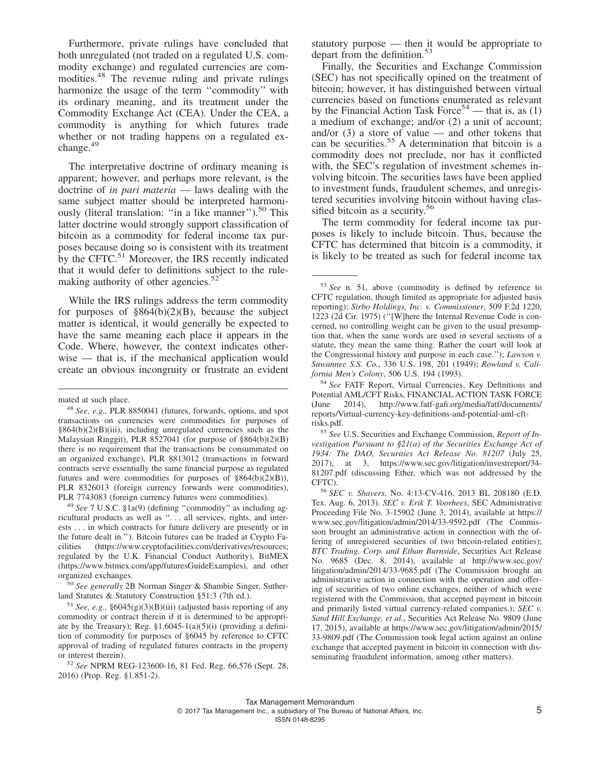Furthermore, private rulings have concluded that both unregulated (not traded on a regulated U.S. commodity exchange) and regulated currencies are commodities.<sup>48</sup> The revenue ruling and private rulings harmonize the usage of the term ''commodity'' with its ordinary meaning, and its treatment under the Commodity Exchange Act (CEA). Under the CEA, a commodity is anything for which futures trade whether or not trading happens on a regulated exchange.<sup>49</sup>

The interpretative doctrine of ordinary meaning is apparent; however, and perhaps more relevant, is the doctrine of *in pari materia* — laws dealing with the same subject matter should be interpreted harmoniously (literal translation: "in a like manner").<sup>50</sup> This latter doctrine would strongly support classification of bitcoin as a commodity for federal income tax purposes because doing so is consistent with its treatment by the CFTC.<sup>51</sup> Moreover, the IRS recently indicated that it would defer to definitions subject to the rulemaking authority of other agencies.<sup>52</sup>

While the IRS rulings address the term commodity for purposes of  $\frac{864(b)(2)(B)}{B}$ , because the subject matter is identical, it would generally be expected to have the same meaning each place it appears in the Code. Where, however, the context indicates otherwise — that is, if the mechanical application would create an obvious incongruity or frustrate an evident

<sup>49</sup> *See* 7 U.S.C. §1a(9) (defining ''commodity'' as including agricultural products as well as ''. . . all services, rights, and interests . . . in which contracts for future delivery are presently or in the future dealt in.''). Bitcoin futures can be traded at Crypto Facilities [\(https://www.cryptofacilities.com/derivatives/resources;](https://www.cryptofacilities.com/derivatives/resources) regulated by the U.K. Financial Conduct Authority), BitMEX [\(https://www.bitmex.com/app/futuresGuideExamples\)](https://www.bitmex.com/app/futuresGuideExamples), and other organized exchanges.

statutory purpose — then it would be appropriate to depart from the definition.<sup>53</sup>

Finally, the Securities and Exchange Commission (SEC) has not specifically opined on the treatment of bitcoin; however, it has distinguished between virtual currencies based on functions enumerated as relevant by the Financial Action Task Force<sup>54</sup> — that is, as (1) a medium of exchange; and/or (2) a unit of account; and/or  $(3)$  a store of value — and other tokens that can be securities.<sup>55</sup> A determination that bitcoin is a commodity does not preclude, nor has it conflicted with, the SEC's regulation of investment schemes involving bitcoin. The securities laws have been applied to investment funds, fraudulent schemes, and unregistered securities involving bitcoin without having classified bitcoin as a security.<sup>56</sup>

The term commodity for federal income tax purposes is likely to include bitcoin. Thus, because the CFTC has determined that bitcoin is a commodity, it is likely to be treated as such for federal income tax

<sup>55</sup> *See* U.S. Securities and Exchange Commission, *Report of Investigation Pursuant to §21(a) of the Securities Exchange Act of 1934: The DAO, Securities Act Release No. 81207* (July 25, 2017), at 3, [https://www.sec.gov/litigation/investreport/34-](https://www.sec.gov/litigation/investreport/34-81207.pdf) [81207.pdf](https://www.sec.gov/litigation/investreport/34-81207.pdf) (discussing Ether, which was not addressed by the CFTC).

<sup>56</sup> *SEC v. Shavers*, No. 4:13-CV-416, 2013 BL 208180 (E.D. Tex. Aug. 6, 2013). *SEC v. Erik T. Voorhees*, SEC Administrative Proceeding File No. 3-15902 (June 3, 2014), available at [https://](https://www.sec.gov/litigation/admin/2014/33-9592.pdf) [www.sec.gov/litigation/admin/2014/33-9592.pdf](https://www.sec.gov/litigation/admin/2014/33-9592.pdf) (The Commission brought an administrative action in connection with the offering of unregistered securities of two bitcoin-related entities); *BTC Trading, Corp. and Ethan Burnside*, Securities Act Release No. 9685 (Dec. 8, 2014), available at [http://www.sec.gov/](http://www.sec.gov/litigation/admin/2014/33-9685.pdf) [litigation/admin/2014/33-9685.pdf](http://www.sec.gov/litigation/admin/2014/33-9685.pdf) (The Commission brought an administrative action in connection with the operation and offering of securities of two online exchanges, neither of which were registered with the Commission, that accepted payment in bitcoin and primarily listed virtual currency-related companies.); *SEC v. Sand Hill Exchange, et al.*, Securities Act Release No. 9809 (June 17, 2015), available at [https://www.sec.gov/litigation/admin/2015/](https://www.sec.gov/litigation/admin/2015/33-9809.pdf) [33-9809.pdf](https://www.sec.gov/litigation/admin/2015/33-9809.pdf) (The Commission took legal action against an online exchange that accepted payment in bitcoin in connection with disseminating fraudulent information, among other matters).

mated at such place.

<sup>48</sup> *See, e.g.,* PLR 8850041 (futures, forwards, options, and spot transactions on currencies were commodities for purposes of §864(b)(2)(B)(iii), including unregulated currencies such as the Malaysian Ringgit), PLR 8527041 (for purpose of §864(b)(2)(B) there is no requirement that the transactions be consummated on an organized exchange), PLR 8813012 (transactions in forward contracts serve essentially the same financial purpose as regulated futures and were commodities for purposes of  $§864(b)(2)(B)$ , PLR 8326013 (foreign currency forwards were commodities), PLR 7743083 (foreign currency futures were commodities).

<sup>50</sup> *See generally* 2B Norman Singer & Shambie Singer, Sutherland Statutes & Statutory Construction §51:3 (7th ed.).

<sup>&</sup>lt;sup>51</sup> *See, e.g.,*  $§6045(g)(3)(B)(iii)$  (adjusted basis reporting of any commodity or contract therein if it is determined to be appropriate by the Treasury); Reg.  $$1.6045-1(a)(5)(i)$  (providing a definition of commodity for purposes of §6045 by reference to CFTC approval of trading of regulated futures contracts in the property or interest therein).

<sup>52</sup> *See* NPRM REG-123600-16, 81 Fed. Reg. 66,576 (Sept. 28, 2016) (Prop. Reg. §1.851-2).

<sup>53</sup> *See* n. 51, above (commodity is defined by reference to CFTC regulation, though limited as appropriate for adjusted basis reporting); *Sirbo Holdings, Inc. v. Commissioner*, 509 F.2d 1220, 1223 (2d Cir. 1975) (''[W]here the Internal Revenue Code is concerned, no controlling weight can be given to the usual presumption that, when the same words are used in several sections of a statute, they mean the same thing. Rather the court will look at the Congressional history and purpose in each case.''); *Lawson v. Suwannee S.S. Co.*, 336 U.S. 198, 201 (1949); *Rowland v. California Men's Colony*, 506 U.S. 194 (1993).

<sup>54</sup> *See* FATF Report, Virtual Currencies, Key Definitions and Potential AML/CFT Risks, FINANCIAL ACTION TASK FORCE<br>(June 2014). http://www.fatf-gafi.org/media/fatf/documents/ 2014), [http://www.fatf-gafi.org/media/fatf/documents/](http://www.fatf-gafi.org/media/fatf/documents/reports/Virtual-currency-key-definitions-and-potential-aml-cft-risks.pdf) [reports/Virtual-currency-key-definitions-and-potential-aml-cft](http://www.fatf-gafi.org/media/fatf/documents/reports/Virtual-currency-key-definitions-and-potential-aml-cft-risks.pdf)[risks.pdf.](http://www.fatf-gafi.org/media/fatf/documents/reports/Virtual-currency-key-definitions-and-potential-aml-cft-risks.pdf)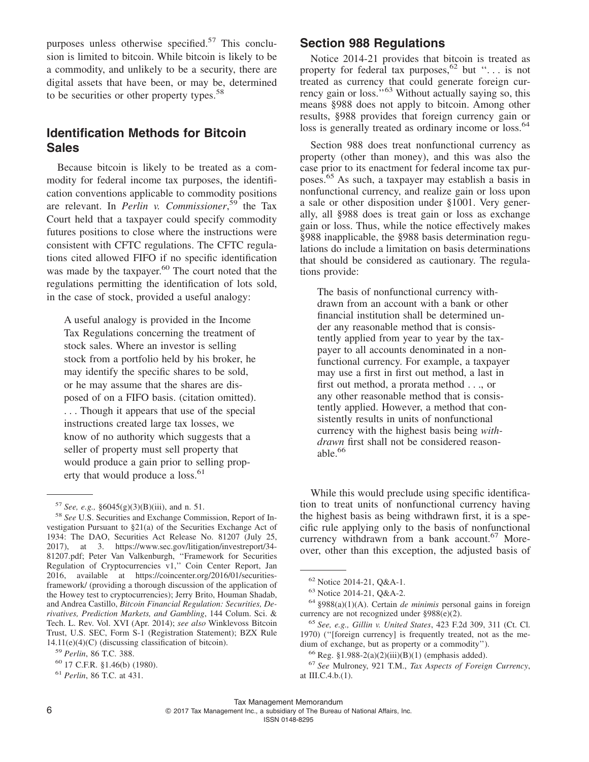purposes unless otherwise specified.<sup>57</sup> This conclusion is limited to bitcoin. While bitcoin is likely to be a commodity, and unlikely to be a security, there are digital assets that have been, or may be, determined to be securities or other property types.<sup>58</sup>

## **Identification Methods for Bitcoin Sales**

Because bitcoin is likely to be treated as a commodity for federal income tax purposes, the identification conventions applicable to commodity positions are relevant. In *Perlin v. Commissioner*, <sup>59</sup> the Tax Court held that a taxpayer could specify commodity futures positions to close where the instructions were consistent with CFTC regulations. The CFTC regulations cited allowed FIFO if no specific identification was made by the taxpayer.<sup>60</sup> The court noted that the regulations permitting the identification of lots sold, in the case of stock, provided a useful analogy:

A useful analogy is provided in the Income Tax Regulations concerning the treatment of stock sales. Where an investor is selling stock from a portfolio held by his broker, he may identify the specific shares to be sold, or he may assume that the shares are disposed of on a FIFO basis. (citation omitted). . . . Though it appears that use of the special instructions created large tax losses, we know of no authority which suggests that a seller of property must sell property that would produce a gain prior to selling property that would produce a loss.<sup>61</sup>

#### **Section 988 Regulations**

Notice 2014-21 provides that bitcoin is treated as property for federal tax purposes,<sup>62</sup> but "... is not treated as currency that could generate foreign currency gain or loss."<sup>63</sup> Without actually saying so, this means §988 does not apply to bitcoin. Among other results, §988 provides that foreign currency gain or loss is generally treated as ordinary income or loss.<sup>64</sup>

Section 988 does treat nonfunctional currency as property (other than money), and this was also the case prior to its enactment for federal income tax purposes.<sup>65</sup> As such, a taxpayer may establish a basis in nonfunctional currency, and realize gain or loss upon a sale or other disposition under §1001. Very generally, all §988 does is treat gain or loss as exchange gain or loss. Thus, while the notice effectively makes §988 inapplicable, the §988 basis determination regulations do include a limitation on basis determinations that should be considered as cautionary. The regulations provide:

The basis of nonfunctional currency withdrawn from an account with a bank or other financial institution shall be determined under any reasonable method that is consistently applied from year to year by the taxpayer to all accounts denominated in a nonfunctional currency. For example, a taxpayer may use a first in first out method, a last in first out method, a prorata method . . ., or any other reasonable method that is consistently applied. However, a method that consistently results in units of nonfunctional currency with the highest basis being *withdrawn* first shall not be considered reasonable.<sup>66</sup>

While this would preclude using specific identification to treat units of nonfunctional currency having the highest basis as being withdrawn first, it is a specific rule applying only to the basis of nonfunctional currency withdrawn from a bank account.<sup>67</sup> Moreover, other than this exception, the adjusted basis of

<sup>57</sup> *See, e.g.,* §6045(g)(3)(B)(iii), and n. 51.

<sup>58</sup> *See* U.S. Securities and Exchange Commission, Report of Investigation Pursuant to §21(a) of the Securities Exchange Act of 1934: The DAO, Securities Act Release No. 81207 (July 25, 2017), at 3. [https://www.sec.gov/litigation/investreport/34-](https://www.sec.gov/litigation/investreport/34-81207.pdf) [81207.pdf;](https://www.sec.gov/litigation/investreport/34-81207.pdf) Peter Van Valkenburgh, ''Framework for Securities Regulation of Cryptocurrencies v1,'' Coin Center Report, Jan 2016, available at [https://coincenter.org/2016/01/securities](https://coincenter.org/2016/01/securities-framework/)[framework/](https://coincenter.org/2016/01/securities-framework/) (providing a thorough discussion of the application of the Howey test to cryptocurrencies); Jerry Brito, Houman Shadab, and Andrea Castillo, *Bitcoin Financial Regulation: Securities, Derivatives, Prediction Markets, and Gambling*, 144 Colum. Sci. & Tech. L. Rev. Vol. XVI (Apr. 2014); *see also* Winklevoss Bitcoin Trust, U.S. SEC, Form S-1 (Registration Statement); BZX Rule 14.11(e)(4)(C) (discussing classification of bitcoin).

<sup>59</sup> *Perlin*, 86 T.C. 388.

<sup>60</sup> 17 C.F.R. §1.46(b) (1980).

<sup>61</sup> *Perlin*, 86 T.C. at 431.

<sup>62</sup> Notice 2014-21, Q&A-1.

<sup>63</sup> Notice 2014-21, Q&A-2.

<sup>64</sup> §988(a)(1)(A). Certain *de minimis* personal gains in foreign currency are not recognized under §988(e)(2).

<sup>65</sup> *See, e.g., Gillin v. United States*, 423 F.2d 309, 311 (Ct. Cl. 1970) (''[foreign currency] is frequently treated, not as the medium of exchange, but as property or a commodity'').

 $66$  Reg. §1.988-2(a)(2)(iii)(B)(1) (emphasis added).

<sup>67</sup> *See* Mulroney, 921 T.M., *Tax Aspects of Foreign Currency*, at III.C.4.b.(1).

2017 Tax Management Inc., a subsidiary of The Bureau of National Affairs, Inc.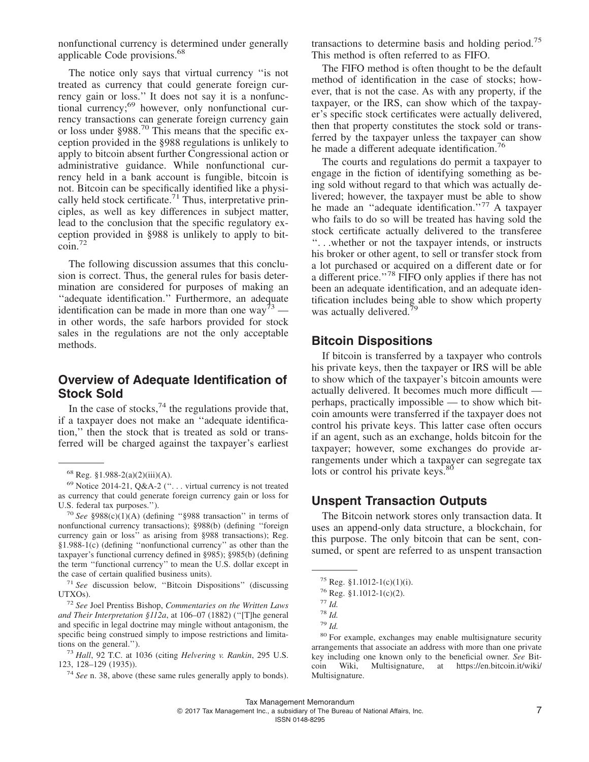nonfunctional currency is determined under generally applicable Code provisions.<sup>68</sup>

The notice only says that virtual currency ''is not treated as currency that could generate foreign currency gain or loss.'' It does not say it is a nonfunctional currency;<sup>69</sup> however, only nonfunctional currency transactions can generate foreign currency gain or loss under  $\S 988$ .<sup>70</sup> This means that the specific exception provided in the §988 regulations is unlikely to apply to bitcoin absent further Congressional action or administrative guidance. While nonfunctional currency held in a bank account is fungible, bitcoin is not. Bitcoin can be specifically identified like a physically held stock certificate.<sup>71</sup> Thus, interpretative principles, as well as key differences in subject matter, lead to the conclusion that the specific regulatory exception provided in §988 is unlikely to apply to bitcoin.<sup>72</sup>

The following discussion assumes that this conclusion is correct. Thus, the general rules for basis determination are considered for purposes of making an "adequate identification." Furthermore, an adequate identification can be made in more than one way<sup>73</sup> in other words, the safe harbors provided for stock sales in the regulations are not the only acceptable methods.

#### **Overview of Adequate Identification of Stock Sold**

In the case of stocks,  $^{74}$  the regulations provide that, if a taxpayer does not make an ''adequate identification,'' then the stock that is treated as sold or transferred will be charged against the taxpayer's earliest

transactions to determine basis and holding period.<sup>75</sup> This method is often referred to as FIFO.

The FIFO method is often thought to be the default method of identification in the case of stocks; however, that is not the case. As with any property, if the taxpayer, or the IRS, can show which of the taxpayer's specific stock certificates were actually delivered, then that property constitutes the stock sold or transferred by the taxpayer unless the taxpayer can show he made a different adequate identification.<sup>76</sup>

The courts and regulations do permit a taxpayer to engage in the fiction of identifying something as being sold without regard to that which was actually delivered; however, the taxpayer must be able to show he made an "adequate identification."<sup>77</sup> A taxpayer who fails to do so will be treated has having sold the stock certificate actually delivered to the transferee ''. . .whether or not the taxpayer intends, or instructs his broker or other agent, to sell or transfer stock from a lot purchased or acquired on a different date or for a different price.''78 FIFO only applies if there has not been an adequate identification, and an adequate identification includes being able to show which property was actually delivered.<sup>7</sup>

#### **Bitcoin Dispositions**

If bitcoin is transferred by a taxpayer who controls his private keys, then the taxpayer or IRS will be able to show which of the taxpayer's bitcoin amounts were actually delivered. It becomes much more difficult perhaps, practically impossible — to show which bitcoin amounts were transferred if the taxpayer does not control his private keys. This latter case often occurs if an agent, such as an exchange, holds bitcoin for the taxpayer; however, some exchanges do provide arrangements under which a taxpayer can segregate tax lots or control his private keys.<sup>80</sup>

#### **Unspent Transaction Outputs**

The Bitcoin network stores only transaction data. It uses an append-only data structure, a blockchain, for this purpose. The only bitcoin that can be sent, consumed, or spent are referred to as unspent transaction

 $68$  Reg. §1.988-2(a)(2)(iii)(A).

<sup>69</sup> Notice 2014-21, Q&A-2 (''. . . virtual currency is not treated as currency that could generate foreign currency gain or loss for U.S. federal tax purposes.'').

<sup>70</sup> *See* §988(c)(1)(A) (defining ''§988 transaction'' in terms of nonfunctional currency transactions); §988(b) (defining ''foreign currency gain or loss'' as arising from §988 transactions); Reg. §1.988-1(c) (defining ''nonfunctional currency'' as other than the taxpayer's functional currency defined in §985); §985(b) (defining the term ''functional currency'' to mean the U.S. dollar except in the case of certain qualified business units).

<sup>71</sup> *See* discussion below, ''Bitcoin Dispositions'' (discussing UTXOs).

<sup>72</sup> *See* Joel Prentiss Bishop, *Commentaries on the Written Laws and Their Interpretation §112a*, at 106–07 (1882) (''[T]he general and specific in legal doctrine may mingle without antagonism, the specific being construed simply to impose restrictions and limitations on the general.'').

<sup>73</sup> *Hall*, 92 T.C. at 1036 (citing *Helvering v. Rankin*, 295 U.S. 123, 128–129 (1935)).

<sup>74</sup> *See* n. 38, above (these same rules generally apply to bonds).

 $75$  Reg. §1.1012-1(c)(1)(i).

 $76$  Reg. §1.1012-1(c)(2).

<sup>77</sup> *Id.*

<sup>78</sup> *Id.*

<sup>79</sup> *Id.*

<sup>80</sup> For example, exchanges may enable multisignature security arrangements that associate an address with more than one private key including one known only to the beneficial owner. *See* Bitcoin Wiki, Multisignature, at [https://en.bitcoin.it/wiki/](https://en.bitcoin.it/wiki/Multisignature) [Multisignature.](https://en.bitcoin.it/wiki/Multisignature)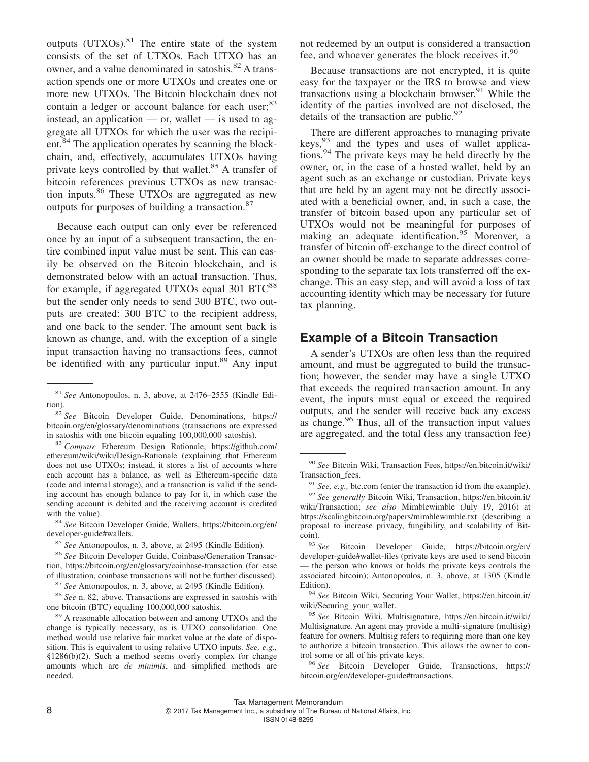outputs (UTXOs).<sup>81</sup> The entire state of the system consists of the set of UTXOs. Each UTXO has an owner, and a value denominated in satoshis.<sup>82</sup> A transaction spends one or more UTXOs and creates one or more new UTXOs. The Bitcoin blockchain does not contain a ledger or account balance for each user;<sup>83</sup> instead, an application — or, wallet — is used to aggregate all UTXOs for which the user was the recipient.<sup>84</sup> The application operates by scanning the blockchain, and, effectively, accumulates UTXOs having private keys controlled by that wallet.<sup>85</sup> A transfer of bitcoin references previous UTXOs as new transaction inputs.86 These UTXOs are aggregated as new outputs for purposes of building a transaction.<sup>87</sup>

Because each output can only ever be referenced once by an input of a subsequent transaction, the entire combined input value must be sent. This can easily be observed on the Bitcoin blockchain, and is demonstrated below with an actual transaction. Thus, for example, if aggregated UTXOs equal  $301 BTC^{88}$ but the sender only needs to send 300 BTC, two outputs are created: 300 BTC to the recipient address, and one back to the sender. The amount sent back is known as change, and, with the exception of a single input transaction having no transactions fees, cannot be identified with any particular input.<sup>89</sup> Any input

<sup>82</sup> *See* Bitcoin Developer Guide, Denominations, [https://](https://bitcoin.org/en/glossary/denominations) [bitcoin.org/en/glossary/denominations](https://bitcoin.org/en/glossary/denominations) (transactions are expressed in satoshis with one bitcoin equaling 100,000,000 satoshis).

<sup>83</sup> *Compare* Ethereum Design Rationale, [https://github.com/](https://github.com/ethereum/wiki/wiki/Design-Rationale) [ethereum/wiki/wiki/Design-Rationale](https://github.com/ethereum/wiki/wiki/Design-Rationale) (explaining that Ethereum does not use UTXOs; instead, it stores a list of accounts where each account has a balance, as well as Ethereum-specific data (code and internal storage), and a transaction is valid if the sending account has enough balance to pay for it, in which case the sending account is debited and the receiving account is credited with the value).

<sup>84</sup> *See* Bitcoin Developer Guide, Wallets, [https://bitcoin.org/en/](https://bitcoin.org/en/developer-guide#wallets) [developer-guide#wallets.](https://bitcoin.org/en/developer-guide#wallets)

<sup>88</sup> *See* n. 82, above. Transactions are expressed in satoshis with one bitcoin (BTC) equaling 100,000,000 satoshis.

<sup>89</sup> A reasonable allocation between and among UTXOs and the change is typically necessary, as is UTXO consolidation. One method would use relative fair market value at the date of disposition. This is equivalent to using relative UTXO inputs. *See, e.g.,* §1286(b)(2). Such a method seems overly complex for change amounts which are *de minimis*, and simplified methods are needed.

not redeemed by an output is considered a transaction fee, and whoever generates the block receives it.<sup>90</sup>

Because transactions are not encrypted, it is quite easy for the taxpayer or the IRS to browse and view transactions using a blockchain browser. $91$  While the identity of the parties involved are not disclosed, the details of the transaction are public. $92$ 

There are different approaches to managing private  $keys<sub>3</sub><sup>93</sup>$  and the types and uses of wallet applications.<sup>94</sup> The private keys may be held directly by the owner, or, in the case of a hosted wallet, held by an agent such as an exchange or custodian. Private keys that are held by an agent may not be directly associated with a beneficial owner, and, in such a case, the transfer of bitcoin based upon any particular set of UTXOs would not be meaningful for purposes of making an adequate identification.<sup>95</sup> Moreover, a transfer of bitcoin off-exchange to the direct control of an owner should be made to separate addresses corresponding to the separate tax lots transferred off the exchange. This an easy step, and will avoid a loss of tax accounting identity which may be necessary for future tax planning.

#### **Example of a Bitcoin Transaction**

A sender's UTXOs are often less than the required amount, and must be aggregated to build the transaction; however, the sender may have a single UTXO that exceeds the required transaction amount. In any event, the inputs must equal or exceed the required outputs, and the sender will receive back any excess as change.<sup>96</sup> Thus, all of the transaction input values are aggregated, and the total (less any transaction fee)

<sup>81</sup> *See* Antonopoulos, n. 3, above, at 2476–2555 (Kindle Edition).

<sup>85</sup> *See* Antonopoulos, n. 3, above, at 2495 (Kindle Edition).

<sup>86</sup> *See* Bitcoin Developer Guide, Coinbase/Generation Transaction,<https://bitcoin.org/en/glossary/coinbase-transaction> (for ease of illustration, coinbase transactions will not be further discussed).

<sup>87</sup> *See* Antonopoulos, n. 3, above, at 2495 (Kindle Edition).

<sup>90</sup> *See* Bitcoin Wiki, Transaction Fees, [https://en.bitcoin.it/wiki/](https://en.bitcoin.it/wiki/Transaction_fees) Transaction fees.

<sup>91</sup> *See, e.g.,* btc.com (enter the transaction id from the example).

<sup>92</sup> *See generally* Bitcoin Wiki, Transaction, [https://en.bitcoin.it/](https://en.bitcoin.it/wiki/Transaction) [wiki/Transaction;](https://en.bitcoin.it/wiki/Transaction) *see also* Mimblewimble (July 19, 2016) at <https://scalingbitcoin.org/papers/mimblewimble.txt> (describing a proposal to increase privacy, fungibility, and scalability of Bitcoin).

<sup>93</sup> *See* Bitcoin Developer Guide, [https://bitcoin.org/en/](https://bitcoin.org/en/developer-guide#wallet-files) [developer-guide#wallet-files](https://bitcoin.org/en/developer-guide#wallet-files) (private keys are used to send bitcoin — the person who knows or holds the private keys controls the associated bitcoin); Antonopoulos, n. 3, above, at 1305 (Kindle Edition).

<sup>94</sup> *See* Bitcoin Wiki, Securing Your Wallet, [https://en.bitcoin.it/](https://en.bitcoin.it/wiki/Securing_your_wallet) [wiki/Securing\\_your\\_wallet.](https://en.bitcoin.it/wiki/Securing_your_wallet)

<sup>95</sup> *See* Bitcoin Wiki, Multisignature, [https://en.bitcoin.it/wiki/](https://en.bitcoin.it/wiki/Multisignature) [Multisignature.](https://en.bitcoin.it/wiki/Multisignature) An agent may provide a multi-signature (multisig) feature for owners. Multisig refers to requiring more than one key to authorize a bitcoin transaction. This allows the owner to control some or all of his private keys.

<sup>96</sup> *See* Bitcoin Developer Guide, Transactions, [https://](https://bitcoin.org/en/developer-guide#transactions) [bitcoin.org/en/developer-guide#transactions.](https://bitcoin.org/en/developer-guide#transactions)